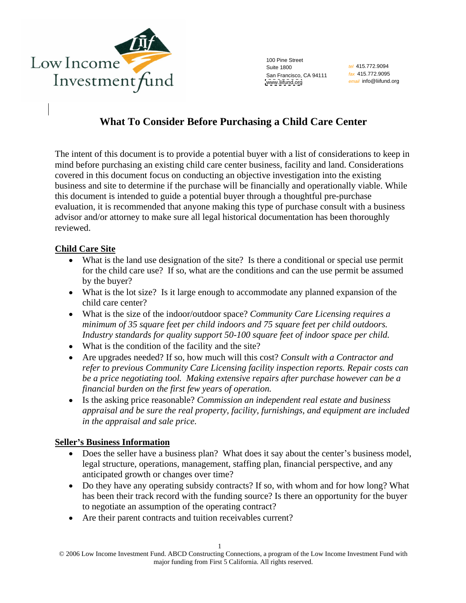

100 Pine Street Suite 1800 **Suite 1800** *tel 415.172.9094* **Suite 1800** San Francisco, CA 94111 *fax* 415.772.9095 [www.liifund.org](http://www.liifund.org)

tel 415.772.9094 fax 415.772.9095 email info@liifund.org

# **What To Consider Before Purchasing a Child Care Center**

The intent of this document is to provide a potential buyer with a list of considerations to keep in mind before purchasing an existing child care center business, facility and land. Considerations covered in this document focus on conducting an objective investigation into the existing business and site to determine if the purchase will be financially and operationally viable. While this document is intended to guide a potential buyer through a thoughtful pre-purchase evaluation, it is recommended that anyone making this type of purchase consult with a business advisor and/or attorney to make sure all legal historical documentation has been thoroughly reviewed.

### **Child Care Site**

- What is the land use designation of the site? Is there a conditional or special use permit for the child care use? If so, what are the conditions and can the use permit be assumed by the buyer?
- What is the lot size? Is it large enough to accommodate any planned expansion of the child care center?
- What is the size of the indoor/outdoor space? *Community Care Licensing requires a minimum of 35 square feet per child indoors and 75 square feet per child outdoors. Industry standards for quality support 50-100 square feet of indoor space per child.*
- What is the condition of the facility and the site?
- Are upgrades needed? If so, how much will this cost? *Consult with a Contractor and refer to previous Community Care Licensing facility inspection reports. Repair costs can be a price negotiating tool. Making extensive repairs after purchase however can be a financial burden on the first few years of operation.*
- Is the asking price reasonable? *Commission an independent real estate and business appraisal and be sure the real property, facility, furnishings, and equipment are included in the appraisal and sale price.*

#### **Seller s Business Information**

- Does the seller have a business plan? What does it say about the center's business model, legal structure, operations, management, staffing plan, financial perspective, and any anticipated growth or changes over time?
- Do they have any operating subsidy contracts? If so, with whom and for how long? What has been their track record with the funding source? Is there an opportunity for the buyer to negotiate an assumption of the operating contract?
- Are their parent contracts and tuition receivables current?

<sup>1</sup> © 2006 Low Income Investment Fund. ABCD Constructing Connections, a program of the Low Income Investment Fund with major funding from First 5 California. All rights reserved.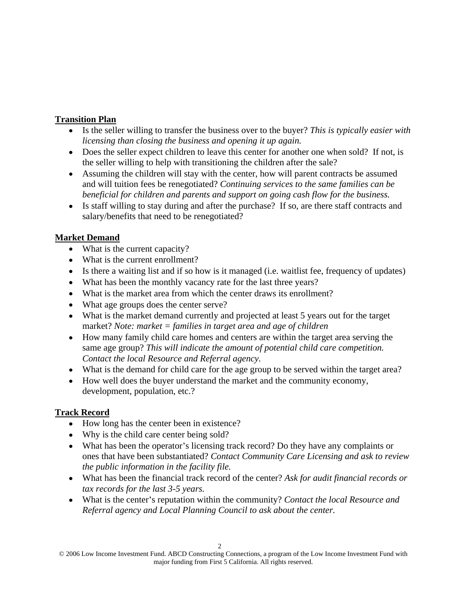## **Transition Plan**

- Is the seller willing to transfer the business over to the buyer? *This is typically easier with licensing than closing the business and opening it up again.*
- Does the seller expect children to leave this center for another one when sold? If not, is the seller willing to help with transitioning the children after the sale?<br>• Assuming the children will stay with the center, how will parent contracts be assumed
- and will tuition fees be renegotiated? *Continuing services to the same families can be beneficial for children and parents and support on going cash flow for the business.*
- Is staff willing to stay during and after the purchase? If so, are there staff contracts and salary/benefits that need to be renegotiated?

## **Market Demand**

- What is the current capacity?
- What is the current enrollment?
- $\bullet$  Is there a waiting list and if so how is it managed (i.e. waitlist fee, frequency of updates)
- What has been the monthly vacancy rate for the last three years?
- What is the market area from which the center draws its enrollment?
- What age groups does the center serve?
- What is the market demand currently and projected at least 5 years out for the target market? *Note: market = families in target area and age of children*
- How many family child care homes and centers are within the target area serving the same age group? *This will indicate the amount of potential child care competition. Contact the local Resource and Referral agency.*
- What is the demand for child care for the age group to be served within the target area?
- How well does the buyer understand the market and the community economy, development, population, etc.?

## **Track Record**

- How long has the center been in existence?
- Why is the child care center being sold?
- What has been the operator's licensing track record? Do they have any complaints or ones that have been substantiated? *Contact Community Care Licensing and ask to review the public information in the facility file.*
- What has been the financial track record of the center? *Ask for audit financial records or tax records for the last 3-5 years.*
- What is the center's reputation within the community? *Contact the local Resource and Referral agency and Local Planning Council to ask about the center.*